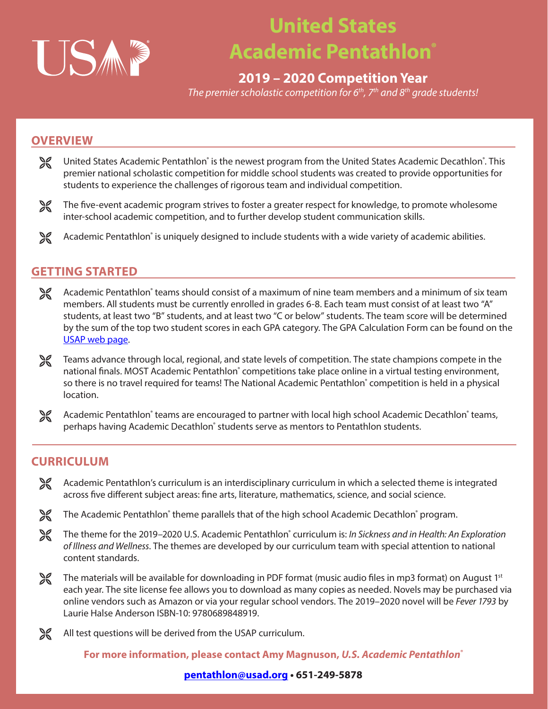

## **United States Academic Pentathlon®**

### **2019 – 2020 Competition Year**

*The premier scholastic competition for 6th, 7th and 8th grade students!*

### **OVERVIEW**

- United States Academic Pentathlon<sup>®</sup> is the newest program from the United States Academic Decathlon<sup>®</sup>. This premier national scholastic competition for middle school students was created to provide opportunities for students to experience the challenges of rigorous team and individual competition.
- The five-event academic program strives to foster a greater respect for knowledge, to promote wholesome inter-school academic competition, and to further develop student communication skills.
- Academic Pentathlon<sup>®</sup> is uniquely designed to include students with a wide variety of academic abilities.

### **GETTING STARTED**

- **→ Academic Pentathlon**® teams should consist of a maximum of nine team members and a minimum of six team members. All students must be currently enrolled in grades 6-8. Each team must consist of at least two "A" students, at least two "B" students, and at least two "C or below" students. The team score will be determined by the sum of the top two student scores in each GPA category. The GPA Calculation Form can be found on the [USAP web page](http://usad.org/Pentathlon.aspx).
- Teams advance through local, regional, and state levels of competition. The state champions compete in the national finals. MOST Academic Pentathlon<sup>®</sup> competitions take place online in a virtual testing environment, so there is no travel required for teams! The National Academic Pentathlon<sup>®</sup> competition is held in a physical location.
- Academic Pentathlon<sup>®</sup> teams are encouraged to partner with local high school Academic Decathlon® teams, perhaps having Academic Decathlon<sup>®</sup> students serve as mentors to Pentathlon students.

### **CURRICULUM**

- Academic Pentathlon's curriculum is an interdisciplinary curriculum in which a selected theme is integrated across five different subject areas: fine arts, literature, mathematics, science, and social science.
- The Academic Pentathlon<sup>®</sup> theme parallels that of the high school Academic Decathlon® program.
- ± The theme for the 2019–2020 U.S. Academic Pentathlon® curriculum is: *In Sickness and in Health: An Exploration of Illness and Wellness*. The themes are developed by our curriculum team with special attention to national content standards.
- **EX** The materials will be available for downloading in PDF format (music audio files in mp3 format) on August 1st each year. The site license fee allows you to download as many copies as needed. Novels may be purchased via online vendors such as Amazon or via your regular school vendors. The 2019–2020 novel will be *Fever 1793* by Laurie Halse Anderson ISBN-10: 9780689848919.
- All test questions will be derived from the USAP curriculum.

**For more information, please contact Amy Magnuson,** *U.S. Academic Pentathlon®*

### **[pentathlon@usad.org](mailto:pentathlon%40usad.org?subject=) • 651-249-5878**